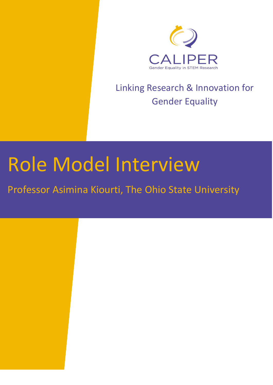

# Linking Research & Innovation for Gender Equality

# Role Model Interview

Professor Asimina Kiourti, The Ohio State University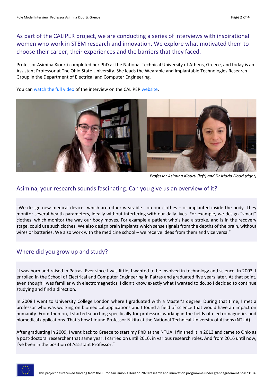As part of the CALIPER project, we are conducting a series of interviews with inspirational women who work in STEM research and innovation. We explore what motivated them to choose their career, their experiences and the barriers that they faced.

Professor Asimina Kiourti completed her PhD at the National Technical University of Athens, Greece, and today is an Assistant Professor at The Ohio State University. She leads the Wearable and Implantable Technologies Research Group in the Department of Electrical and Computer Engineering.

You ca[n watch the full video](https://www.youtube.com/watch?v=-sN6MxY3qNI) of the interview on the CALIPER [website.](https://caliper-project.eu/role-models/)



*Professor Asimina Kiourti (left) and Dr Maria Flouri (right)*

#### Asimina, your research sounds fascinating. Can you give us an overview of it?

"We design new medical devices which are either wearable - on our clothes – or implanted inside the body. They monitor several health parameters, ideally without interfering with our daily lives. For example, we design "smart" clothes, which monitor the way our body moves. For example a patient who's had a stroke, and is in the recovery stage, could use such clothes. We also design brain implants which sense signals from the depths of the brain, without wires or batteries. We also work with the medicine school – we receive ideas from them and vice versa."

#### Where did you grow up and study?

"I was born and raised in Patras. Ever since I was little, I wanted to be involved in technology and science. In 2003, I enrolled in the School of Electrical and Computer Engineering in Patras and graduated five years later. At that point, even though I was familiar with electromagnetics, I didn't know exactly what I wanted to do, so I decided to continue studying and find a direction.

In 2008 I went to University College London where I graduated with a Master's degree. During that time, I met a professor who was working on biomedical applications and I found a field of science that would have an impact on humanity. From then on, I started searching specifically for professors working in the fields of electromagnetics and biomedical applications. That's how I found Professor Nikita at the National Technical University of Athens (NTUA).

After graduating in 2009, I went back to Greece to start my PhD at the NTUA. I finished it in 2013 and came to Ohio as a post-doctoral researcher that same year. I carried on until 2016, in various research roles. And from 2016 until now, I've been in the position of Assistant Professor."

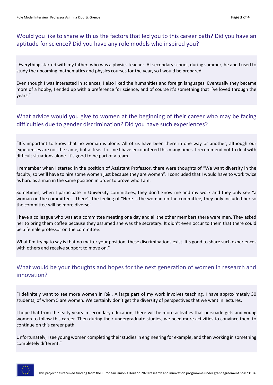## Would you like to share with us the factors that led you to this career path? Did you have an aptitude for science? Did you have any role models who inspired you?

"Everything started with my father, who was a physics teacher. At secondary school, during summer, he and I used to study the upcoming mathematics and physics courses for the year, so I would be prepared.

Even though I was interested in sciences, I also liked the humanities and foreign languages. Eventually they became more of a hobby, I ended up with a preference for science, and of course it's something that I've loved through the years."

### What advice would you give to women at the beginning of their career who may be facing difficulties due to gender discrimination? Did you have such experiences?

"It's important to know that no woman is alone. All of us have been there in one way or another, although our experiences are not the same, but at least for me I have encountered this many times. I recommend not to deal with difficult situations alone. It's good to be part of a team.

I remember when I started in the position of Assistant Professor, there were thoughts of "We want diversity in the faculty, so we'll have to hire some women just because they are women". I concluded that I would have to work twice as hard as a man in the same position in order to prove who I am.

Sometimes, when I participate in University committees, they don't know me and my work and they only see "a woman on the committee". There's the feeling of "Here is the woman on the committee, they only included her so the committee will be more diverse".

I have a colleague who was at a committee meeting one day and all the other members there were men. They asked her to bring them coffee because they assumed she was the secretary. It didn't even occur to them that there could be a female professor on the committee.

What I'm trying to say is that no matter your position, these discriminations exist. It's good to share such experiences with others and receive support to move on."

### What would be your thoughts and hopes for the next generation of women in research and innovation?

"I definitely want to see more women in R&I. A large part of my work involves teaching. I have approximately 30 students, of whom 5 are women. We certainly don't get the diversity of perspectives that we want in lectures.

I hope that from the early years in secondary education, there will be more activities that persuade girls and young women to follow this career. Then during their undergraduate studies, we need more activities to convince them to continue on this career path.

Unfortunately, I see young women completing their studies in engineering for example, and then working in something completely different."